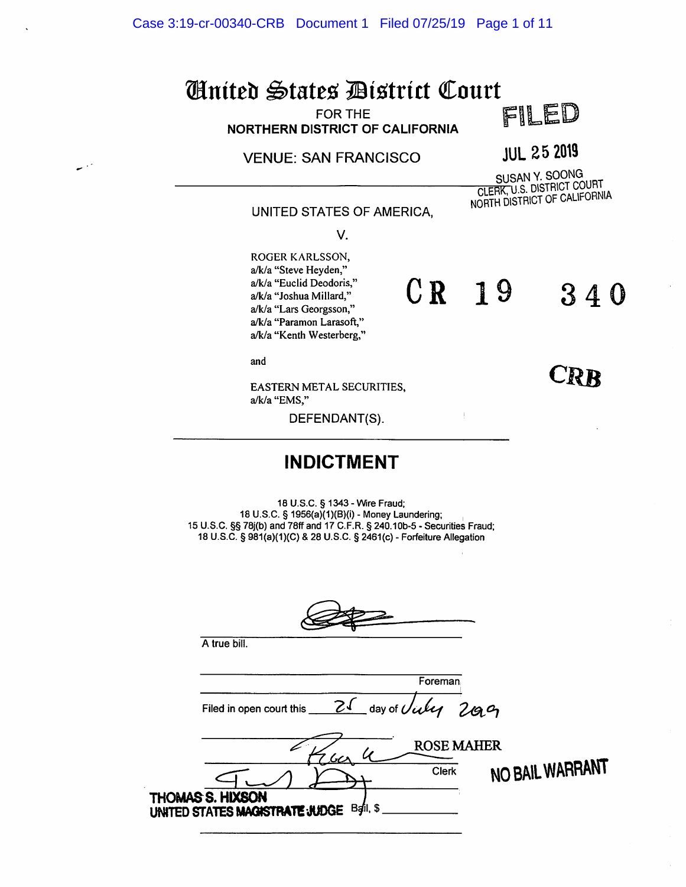Case 3:19-cr-00340-CRB Document 1 Filed 07/25/19 Page 1 of 11

# United States District Court<br>NORTHE CONTING CONTINUES

FOR THE FOR THE **FOR THE** 

VENUE: SAN FRANCISCO<br>
SUSAN Y. SOONG<br>
CLERK, U.S. DISTRICT COURT NORTH DISTRICT OF CALIFORNIA

CRR

CR 19 340

UNITED STATES OF AMERICA,

V.

ROGER KARLSSON, a/k/a "Steve Heyden," a/k/a "Euclid Deodoris," a/k/a "Joshua Millard," a/k/a "Lars Georgsson," a/k/a "Paramon Larasoft," a/k/a "Kenth Westerberg,"

and

EASTERN METAL SECURITIES, a/k/a "EMS,"

DEFENDANT(S).

#### INDICTMENT

10 U.S.C. § 1343 - Wire Fraud; 18 U.S.C. § 1956(a)(1)(B){i) - Money Laundering; 15 U.S.C. §§ 78j(b) and 78ff and 17 C.F.R. § 240.10b-5 - Securities Fraud; 18 U.S.C. § 981(a)(1)(C) &28 U.S.C. § 2461(c) - Forfeiture Allegation

A true bill.

| Foreman                                                        |  |
|----------------------------------------------------------------|--|
| 21 day of Villy 2009<br>Filed in open court this               |  |
| <b>ROSE MAHER</b><br><u> ريرا</u>                              |  |
| NO BAIL WARRANT<br>Clerk                                       |  |
| THOMAS S. HIXSON<br>Bail, \$<br>UNITED STATES MAGISTRATE JUDGE |  |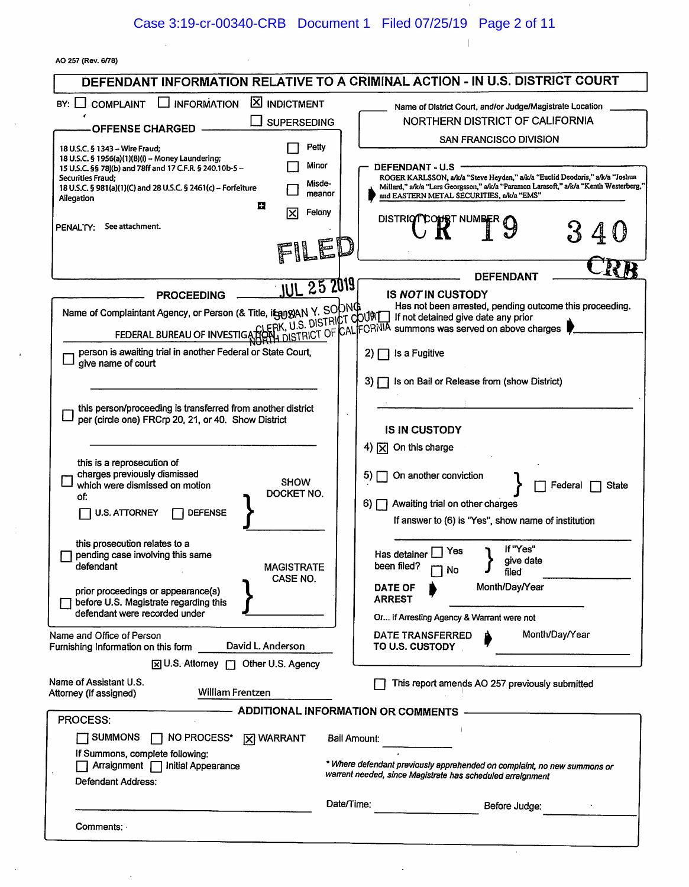$\sim$ 

 $\parallel$ 

 $\ddot{\phantom{a}}$ 

|  |  | AO 257 (Rev. 6/78) |  |
|--|--|--------------------|--|
|--|--|--------------------|--|

|                                                                                                                        | DEFENDANT INFORMATION RELATIVE TO A CRIMINAL ACTION - IN U.S. DISTRICT COURT                                                                                                    |
|------------------------------------------------------------------------------------------------------------------------|---------------------------------------------------------------------------------------------------------------------------------------------------------------------------------|
| $\Box$ information<br><b>X INDICTMENT</b><br>BY:<br><b>COMPLAINT</b>                                                   | Name of District Court, and/or Judge/Magistrate Location                                                                                                                        |
| <b>SUPERSEDING</b>                                                                                                     | NORTHERN DISTRICT OF CALIFORNIA                                                                                                                                                 |
| <b>OFFENSE CHARGED</b>                                                                                                 | <b>SAN FRANCISCO DIVISION</b>                                                                                                                                                   |
| Petty<br>18 U.S.C. § 1343 - Wire Fraud:                                                                                |                                                                                                                                                                                 |
| 18 U.S.C. § 1956(a)(1)(B)(i) -- Money Laundering;<br>Minor<br>15 U.S.C. §§ 78j(b) and 78ff and 17 C.F.R. § 240.10b-5 - | <b>DEFENDANT - U.S</b>                                                                                                                                                          |
| Securities Fraud;<br>18 U.S.C. § 981(a)(1)(C) and 28 U.S.C. § 2461(c) - Forfeiture                                     | ROGER KARLSSON, a/k/a "Steve Heyden," a/k/a "Euclid Deodoris," a/k/a "Joshua<br>Misde-<br>Millard," a/k/a "Lars Georgsson," a/k/a "Paramon Larasoft," a/k/a "Kenth Westerberg," |
| Allegation                                                                                                             | meanor<br>and EASTERN METAL SECURITIES, a/k/a "EMS"                                                                                                                             |
| E<br>ΙXΙ                                                                                                               | Felony<br><b>DISTRIOT</b><br><b>COPS</b> I NUMBER                                                                                                                               |
| See attachment.<br>PENALTY:                                                                                            |                                                                                                                                                                                 |
| FIL                                                                                                                    |                                                                                                                                                                                 |
|                                                                                                                        |                                                                                                                                                                                 |
|                                                                                                                        | DEFENDANT                                                                                                                                                                       |
| <b>JUL 25 2019</b><br><b>PROCEEDING</b>                                                                                | <b>IS NOT IN CUSTODY</b>                                                                                                                                                        |
| Name of Complaintant Agency, or Person (& Title, itsuggan Y. SODNG                                                     | Has not been arrested, pending outcome this proceeding.                                                                                                                         |
|                                                                                                                        |                                                                                                                                                                                 |
|                                                                                                                        | FEDERAL BUREAU OF INVESTIGATION MISTRICT OF CALIFORNIA summons was served on above charges                                                                                      |
| person is awaiting trial in another Federal or State Court,<br>give name of court                                      | Is a Fugitive<br>2)                                                                                                                                                             |
|                                                                                                                        |                                                                                                                                                                                 |
|                                                                                                                        | Is on Bail or Release from (show District)<br>3) I                                                                                                                              |
| this person/proceeding is transferred from another district                                                            |                                                                                                                                                                                 |
| per (circle one) FRCrp 20, 21, or 40. Show District                                                                    |                                                                                                                                                                                 |
|                                                                                                                        | <b>IS IN CUSTODY</b>                                                                                                                                                            |
|                                                                                                                        | 4) $[\overline{x}]$ On this charge                                                                                                                                              |
| this is a reprosecution of<br>charges previously dismissed                                                             |                                                                                                                                                                                 |
| <b>SHOW</b><br>which were dismissed on motion                                                                          | On another conviction<br>5)<br>Federal<br>State                                                                                                                                 |
| DOCKET NO.<br>of:                                                                                                      | Awaiting trial on other charges<br>6) N                                                                                                                                         |
| <b>U.S. ATTORNEY</b><br><b>DEFENSE</b>                                                                                 | If answer to (6) is "Yes", show name of institution                                                                                                                             |
|                                                                                                                        |                                                                                                                                                                                 |
| this prosecution relates to a<br>pending case involving this same                                                      | If "Yes"<br>Yes<br>Has detainer                                                                                                                                                 |
| defendant<br><b>MAGISTRATE</b>                                                                                         | give date<br>been filed?<br>No                                                                                                                                                  |
| CASE NO.                                                                                                               | filed<br>Month/Day/Year                                                                                                                                                         |
| prior proceedings or appearance(s)<br>before U.S. Magistrate regarding this                                            | <b>DATE OF</b><br><b>ARREST</b>                                                                                                                                                 |
| defendant were recorded under                                                                                          | Or if Arresting Agency & Warrant were not                                                                                                                                       |
| Name and Office of Person                                                                                              | Month/Day/Year<br>DATE TRANSFERRED                                                                                                                                              |
| David L. Anderson<br>Furnishing Information on this form                                                               | TO U.S. CUSTODY                                                                                                                                                                 |
| [x] U.S. Attorney [7] Other U.S. Agency                                                                                |                                                                                                                                                                                 |
| Name of Assistant U.S.                                                                                                 |                                                                                                                                                                                 |
| William Frentzen<br>Attorney (if assigned)                                                                             | This report amends AO 257 previously submitted                                                                                                                                  |
|                                                                                                                        | <b>ADDITIONAL INFORMATION OR COMMENTS</b>                                                                                                                                       |
| <b>PROCESS:</b>                                                                                                        |                                                                                                                                                                                 |
| NO PROCESS*   X WARRANT<br>$\Box$ summons                                                                              | Bail Amount:                                                                                                                                                                    |
| If Summons, complete following:                                                                                        |                                                                                                                                                                                 |
| Arraignment   Initial Appearance                                                                                       | * Where defendant previously apprehended on complaint, no new summons or<br>warrant needed, since Magistrate has scheduled arraignment                                          |
| Defendant Address:                                                                                                     |                                                                                                                                                                                 |
|                                                                                                                        | Date/Time:<br>Before Judge:                                                                                                                                                     |
| Comments: -                                                                                                            |                                                                                                                                                                                 |
|                                                                                                                        |                                                                                                                                                                                 |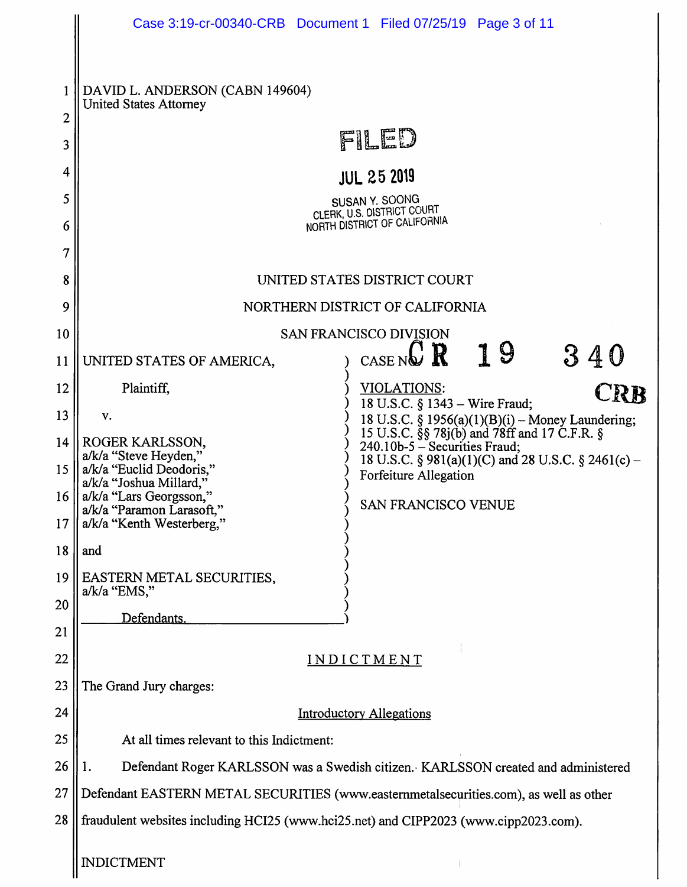|                                      |                                                                                                                                                                                      | Case 3:19-cr-00340-CRB Document 1 Filed 07/25/19 Page 3 of 11                                                                                                                       |  |
|--------------------------------------|--------------------------------------------------------------------------------------------------------------------------------------------------------------------------------------|-------------------------------------------------------------------------------------------------------------------------------------------------------------------------------------|--|
| 2<br>3<br>4<br>5<br>6<br>7<br>8<br>9 | DAVID L. ANDERSON (CABN 149604)<br><b>United States Attorney</b>                                                                                                                     | FILED<br><b>JUL 25 2019</b><br>SUSAN Y. SOONG<br>CLERK, U.S. DISTRICT COURT<br>NORTH DISTRICT OF CALIFORNIA<br>UNITED STATES DISTRICT COURT<br>NORTHERN DISTRICT OF CALIFORNIA      |  |
| 10                                   |                                                                                                                                                                                      | <b>SAN FRANCISCO DIVISION</b>                                                                                                                                                       |  |
| 11                                   | UNITED STATES OF AMERICA,                                                                                                                                                            | C R<br>19<br>340<br>CASE NO                                                                                                                                                         |  |
| 12                                   | Plaintiff,                                                                                                                                                                           | VIOLATIONS:<br><b>CRB</b>                                                                                                                                                           |  |
| 13                                   | v.                                                                                                                                                                                   | 18 U.S.C. § 1343 – Wire Fraud;<br>18 U.S.C. § 1956(a)(1)(B)(i) - Money Laundering;                                                                                                  |  |
| 14<br>15<br>16<br>17                 | ROGER KARLSSON,<br>a/k/a "Steve Heyden,"<br>a/k/a "Euclid Deodoris,"<br>a/k/a "Joshua Millard,"<br>a/k/a "Lars Georgsson,"<br>a/k/a "Paramon Larasoft,"<br>a/k/a "Kenth Westerberg," | 15 U.S.C. §§ 78j(b) and 78ff and 17 C.F.R. §<br>240.10b-5 - Securities Fraud;<br>18 U.S.C. § 981(a)(1)(C) and 28 U.S.C. § 2461(c) -<br>Forfeiture Allegation<br>SAN FRANCISCO VENUE |  |
| 18                                   | and                                                                                                                                                                                  |                                                                                                                                                                                     |  |
| 19<br>20<br>21                       | EASTERN METAL SECURITIES,<br>$a/k/a$ "EMS,"<br>Defendants.                                                                                                                           |                                                                                                                                                                                     |  |
| 22                                   | INDICTMENT                                                                                                                                                                           |                                                                                                                                                                                     |  |
| 23                                   | The Grand Jury charges:                                                                                                                                                              |                                                                                                                                                                                     |  |
| 24                                   | <b>Introductory Allegations</b>                                                                                                                                                      |                                                                                                                                                                                     |  |
| 25                                   | At all times relevant to this Indictment:                                                                                                                                            |                                                                                                                                                                                     |  |
| 26                                   | Defendant Roger KARLSSON was a Swedish citizen. KARLSSON created and administered<br>1.                                                                                              |                                                                                                                                                                                     |  |
| 27                                   | Defendant EASTERN METAL SECURITIES (www.easternmetalsecurities.com), as well as other                                                                                                |                                                                                                                                                                                     |  |
| 28                                   | fraudulent websites including HCI25 (www.hci25.net) and CIPP2023 (www.cipp2023.com).                                                                                                 |                                                                                                                                                                                     |  |
|                                      | <b>INDICTMENT</b>                                                                                                                                                                    |                                                                                                                                                                                     |  |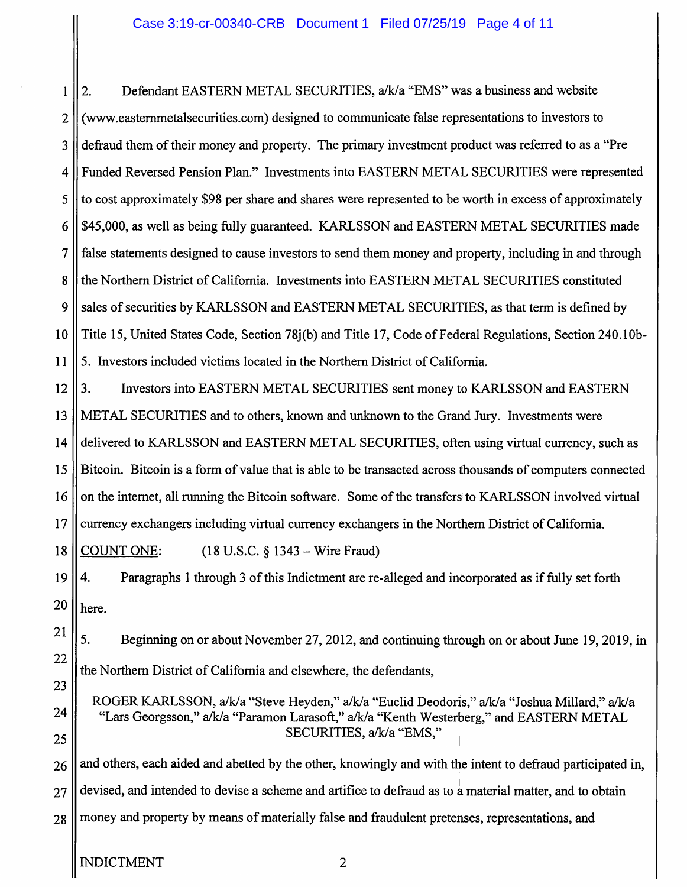Defendant EASTERN METAL SECURITIES, a/k/a "EMS" was a business and website  $2.$  $\mathbf{1}$  $\overline{2}$ (www.easternmetalsecurities.com) designed to communicate false representations to investors to defraud them of their money and property. The primary investment product was referred to as a "Pre 3 Funded Reversed Pension Plan." Investments into EASTERN METAL SECURITIES were represented 4 5 to cost approximately \$98 per share and shares were represented to be worth in excess of approximately 6 \$45,000, as well as being fully guaranteed. KARLSSON and EASTERN METAL SECURITIES made  $\overline{7}$ false statements designed to cause investors to send them money and property, including in and through 8 the Northern District of California. Investments into EASTERN METAL SECURITIES constituted 9 sales of securities by KARLSSON and EASTERN METAL SECURITIES, as that term is defined by Title 15, United States Code, Section 78(b) and Title 17, Code of Federal Regulations, Section 240.10b- $10$ 11 5. Investors included victims located in the Northern District of California.

12  $3.$ Investors into EASTERN METAL SECURITIES sent money to KARLSSON and EASTERN 13 METAL SECURITIES and to others, known and unknown to the Grand Jury. Investments were delivered to KARLSSON and EASTERN METAL SECURITIES, often using virtual currency, such as 14 15 Bitcoin. Bitcoin is a form of value that is able to be transacted across thousands of computers connected 16 on the internet, all running the Bitcoin software. Some of the transfers to KARLSSON involved virtual  $17$ currency exchangers including virtual currency exchangers in the Northern District of California.

**COUNT ONE:** 18  $(18 \text{ U.S.C. } § 1343 - \text{Wire } \text{Fraud})$ 

19 4. Paragraphs 1 through 3 of this Indictment are re-alleged and incorporated as if fully set forth 20 here.

5. Beginning on or about November 27, 2012, and continuing through on or about June 19, 2019, in the Northern District of California and elsewhere, the defendants,

ROGER KARLSSON, a/k/a "Steve Heyden," a/k/a "Euclid Deodoris," a/k/a "Joshua Millard," a/k/a "Lars Georgsson," a/k/a "Paramon Larasoft," a/k/a "Kenth Westerberg," and EASTERN METAL SECURITIES, a/k/a "EMS,"

and others, each aided and abetted by the other, knowingly and with the intent to defraud participated in, 26 devised, and intended to devise a scheme and artifice to defraud as to a material matter, and to obtain 27 money and property by means of materially false and fraudulent pretenses, representations, and 28

21

22

23

24

25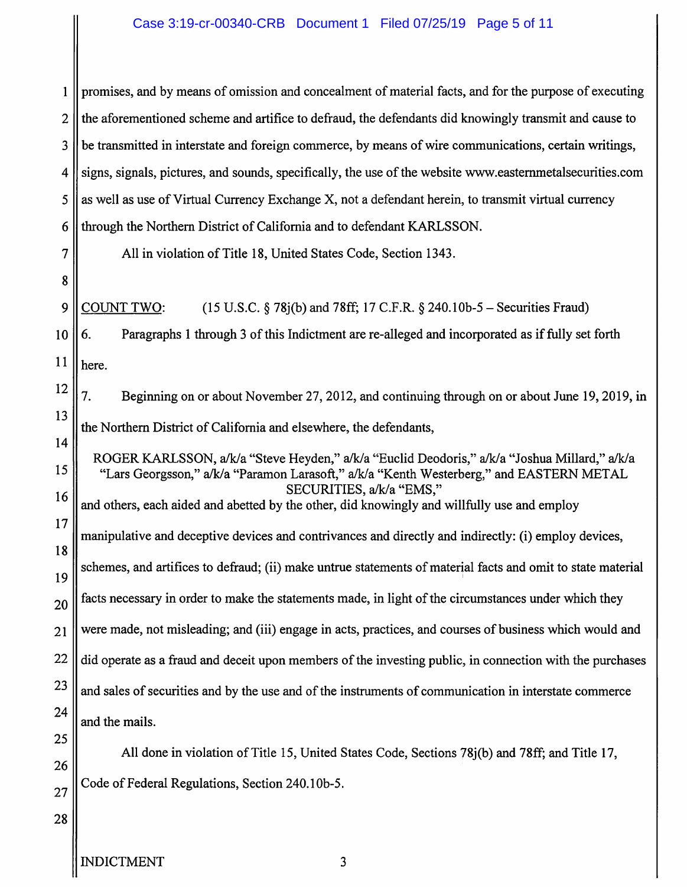#### Case 3:19-cr-00340-CRB Document 1 Filed 07/25/19 Page 5 of 11

| 1  | promises, and by means of omission and concealment of material facts, and for the purpose of executing                                                                                                              |  |  |
|----|---------------------------------------------------------------------------------------------------------------------------------------------------------------------------------------------------------------------|--|--|
| 2  | the aforementioned scheme and artifice to defraud, the defendants did knowingly transmit and cause to                                                                                                               |  |  |
| 3  | be transmitted in interstate and foreign commerce, by means of wire communications, certain writings,                                                                                                               |  |  |
| 4  | signs, signals, pictures, and sounds, specifically, the use of the website www.easternmetalsecurities.com                                                                                                           |  |  |
| 5  | as well as use of Virtual Currency Exchange X, not a defendant herein, to transmit virtual currency                                                                                                                 |  |  |
| 6  | through the Northern District of California and to defendant KARLSSON.                                                                                                                                              |  |  |
| 7  | All in violation of Title 18, United States Code, Section 1343.                                                                                                                                                     |  |  |
| 8  |                                                                                                                                                                                                                     |  |  |
| 9  | <b>COUNT TWO:</b><br>$(15 \text{ U.S.C.} \S 78i(b) \text{ and } 78ff; 17 \text{ C.F.R.} \S 240.10b-5 - Securities Frau)$                                                                                            |  |  |
| 10 | Paragraphs 1 through 3 of this Indictment are re-alleged and incorporated as if fully set forth<br>6.                                                                                                               |  |  |
| 11 | here.                                                                                                                                                                                                               |  |  |
| 12 | 7.<br>Beginning on or about November 27, 2012, and continuing through on or about June 19, 2019, in                                                                                                                 |  |  |
| 13 | the Northern District of California and elsewhere, the defendants,                                                                                                                                                  |  |  |
| 14 |                                                                                                                                                                                                                     |  |  |
| 15 | ROGER KARLSSON, a/k/a "Steve Heyden," a/k/a "Euclid Deodoris," a/k/a "Joshua Millard," a/k/a<br>"Lars Georgsson," a/k/a "Paramon Larasoft," a/k/a "Kenth Westerberg," and EASTERN METAL<br>SECURITIES, a/k/a "EMS," |  |  |
| 16 | and others, each aided and abetted by the other, did knowingly and willfully use and employ                                                                                                                         |  |  |
| 17 | manipulative and deceptive devices and contrivances and directly and indirectly: (i) employ devices,                                                                                                                |  |  |
| 18 | schemes, and artifices to defraud; (ii) make untrue statements of material facts and omit to state material                                                                                                         |  |  |
| 19 |                                                                                                                                                                                                                     |  |  |
| 20 | facts necessary in order to make the statements made, in light of the circumstances under which they                                                                                                                |  |  |
| 21 | were made, not misleading; and (iii) engage in acts, practices, and courses of business which would and                                                                                                             |  |  |
| 22 | did operate as a fraud and deceit upon members of the investing public, in connection with the purchases                                                                                                            |  |  |
| 23 | and sales of securities and by the use and of the instruments of communication in interstate commerce                                                                                                               |  |  |
| 24 | and the mails.                                                                                                                                                                                                      |  |  |
| 25 | All done in violation of Title 15, United States Code, Sections 78 $j(b)$ and 78ff; and Title 17,                                                                                                                   |  |  |
| 26 |                                                                                                                                                                                                                     |  |  |
| 27 | Code of Federal Regulations, Section 240.10b-5.                                                                                                                                                                     |  |  |
| 28 |                                                                                                                                                                                                                     |  |  |
|    |                                                                                                                                                                                                                     |  |  |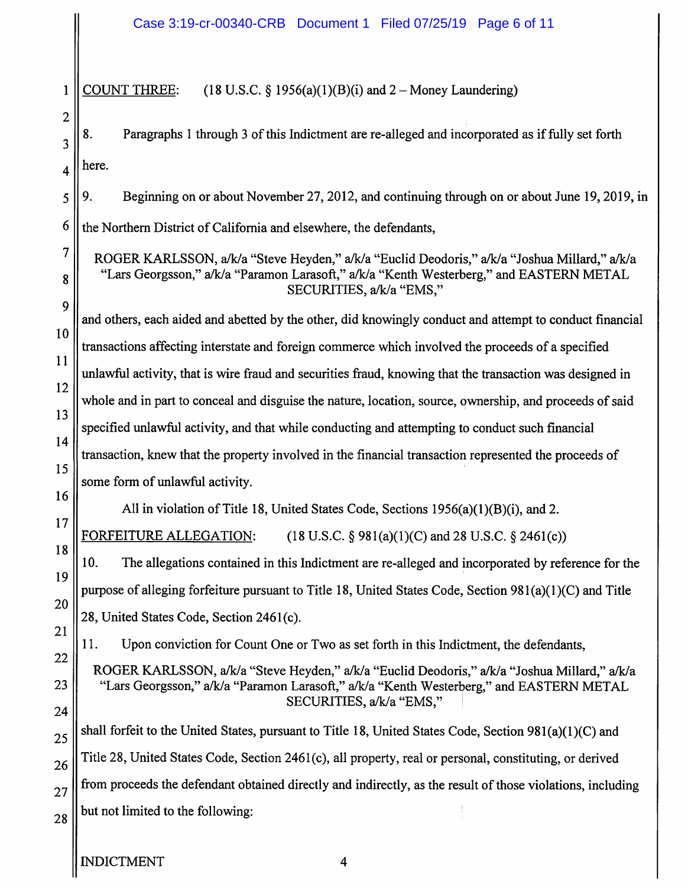**COUNT THREE:**  $\mathbf{1}$  $(18 \text{ U.S.C. } \S 1956(a)(1)(B)(i)$  and  $2 -$  Money Laundering)

8. Paragraphs 1 through 3 of this Indictment are re-alleged and incorporated as if fully set forth here.

9. Beginning on or about November 27, 2012, and continuing through on or about June 19, 2019, in

6 the Northern District of California and elsewhere, the defendants,

ROGER KARLSSON, a/k/a "Steve Heyden," a/k/a "Euclid Deodoris," a/k/a "Joshua Millard," a/k/a "Lars Georgsson," a/k/a "Paramon Larasoft," a/k/a "Kenth Westerberg," and EASTERN METAL SECURITIES, a/k/a "EMS,"

and others, each aided and abetted by the other, did knowingly conduct and attempt to conduct financial transactions affecting interstate and foreign commerce which involved the proceeds of a specified unlawful activity, that is wire fraud and securities fraud, knowing that the transaction was designed in whole and in part to conceal and disguise the nature, location, source, ownership, and proceeds of said specified unlawful activity, and that while conducting and attempting to conduct such financial transaction, knew that the property involved in the financial transaction represented the proceeds of some form of unlawful activity.

All in violation of Title 18, United States Code, Sections 1956(a)(1)(B)(i), and 2.

FORFEITURE ALLEGATION:  $(18 \text{ U.S.C. } § 981(a)(1)(C)$  and 28 U.S.C. § 2461(c))

10. The allegations contained in this Indictment are re-alleged and incorporated by reference for the purpose of alleging forfeiture pursuant to Title 18, United States Code, Section 981(a)(1)(C) and Title 28, United States Code, Section 2461(c).

11. Upon conviction for Count One or Two as set forth in this Indictment, the defendants,

ROGER KARLSSON, a/k/a "Steve Heyden," a/k/a "Euclid Deodoris," a/k/a "Joshua Millard," a/k/a "Lars Georgsson," a/k/a "Paramon Larasoft," a/k/a "Kenth Westerberg," and EASTERN METAL SECURITIES, a/k/a "EMS,"

shall forfeit to the United States, pursuant to Title 18, United States Code, Section 981(a)(1)(C) and Title 28, United States Code, Section 2461(c), all property, real or personal, constituting, or derived from proceeds the defendant obtained directly and indirectly, as the result of those violations, including but not limited to the following:

 $\overline{2}$ 

 $\overline{3}$ 

 $\overline{\mathbf{4}}$ 

5

 $\overline{7}$ 

8

9

10

11

12

13

14

15

16

17

18

19

20

21

22

23

24

25

26

27

28

 $\overline{4}$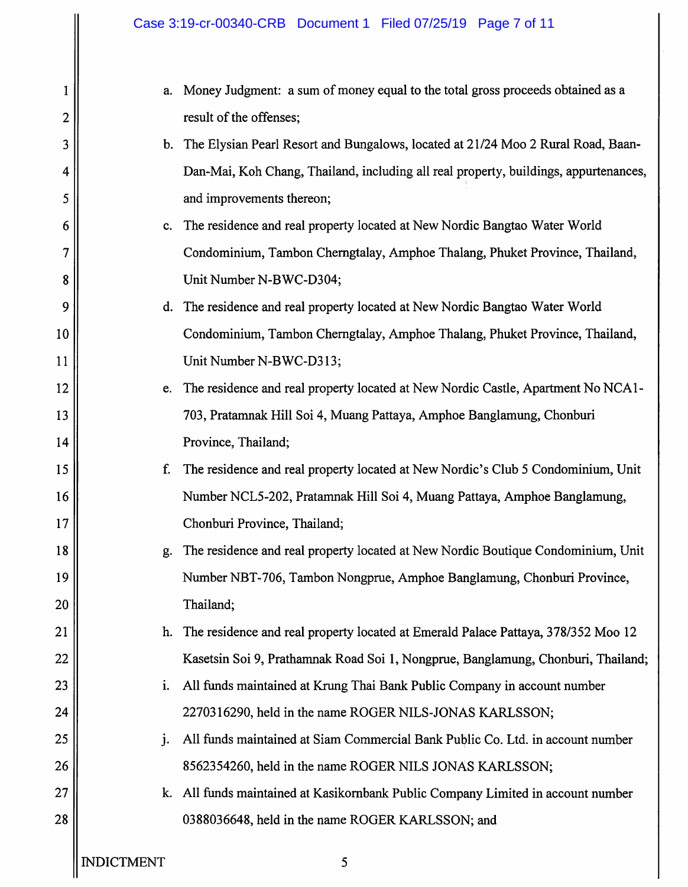| 1              | a.                | Money Judgment: a sum of money equal to the total gross proceeds obtained as a       |
|----------------|-------------------|--------------------------------------------------------------------------------------|
| $\overline{c}$ |                   | result of the offenses;                                                              |
| 3              |                   | b. The Elysian Pearl Resort and Bungalows, located at 21/24 Moo 2 Rural Road, Baan-  |
| 4              |                   | Dan-Mai, Koh Chang, Thailand, including all real property, buildings, appurtenances, |
| 5              |                   | and improvements thereon;                                                            |
| 6              | c.                | The residence and real property located at New Nordic Bangtao Water World            |
| 7              |                   | Condominium, Tambon Cherngtalay, Amphoe Thalang, Phuket Province, Thailand,          |
| 8              |                   | Unit Number N-BWC-D304;                                                              |
| 9              |                   | d. The residence and real property located at New Nordic Bangtao Water World         |
| 10             |                   | Condominium, Tambon Cherngtalay, Amphoe Thalang, Phuket Province, Thailand,          |
| 11             |                   | Unit Number N-BWC-D313;                                                              |
| 12             | e.                | The residence and real property located at New Nordic Castle, Apartment No NCA1-     |
| 13             |                   | 703, Pratamnak Hill Soi 4, Muang Pattaya, Amphoe Banglamung, Chonburi                |
| 14             |                   | Province, Thailand;                                                                  |
| 15             | f.                | The residence and real property located at New Nordic's Club 5 Condominium, Unit     |
| 16             |                   | Number NCL5-202, Pratamnak Hill Soi 4, Muang Pattaya, Amphoe Banglamung,             |
| 17             |                   | Chonburi Province, Thailand;                                                         |
| 18             | g.                | The residence and real property located at New Nordic Boutique Condominium, Unit     |
| 19             |                   | Number NBT-706, Tambon Nongprue, Amphoe Banglamung, Chonburi Province,               |
| 20             |                   | Thailand;                                                                            |
| 21             | h.                | The residence and real property located at Emerald Palace Pattaya, 378/352 Moo 12    |
| 22             |                   | Kasetsin Soi 9, Prathamnak Road Soi 1, Nongprue, Banglamung, Chonburi, Thailand;     |
| 23             | i.                | All funds maintained at Krung Thai Bank Public Company in account number             |
| 24             |                   | 2270316290, held in the name ROGER NILS-JONAS KARLSSON;                              |
| 25             | j.                | All funds maintained at Siam Commercial Bank Public Co. Ltd. in account number       |
| 26             |                   | 8562354260, held in the name ROGER NILS JONAS KARLSSON;                              |
| 27             | k.                | All funds maintained at Kasikornbank Public Company Limited in account number        |
| 28             |                   | 0388036648, held in the name ROGER KARLSSON; and                                     |
|                | <b>INDICTMENT</b> | 5                                                                                    |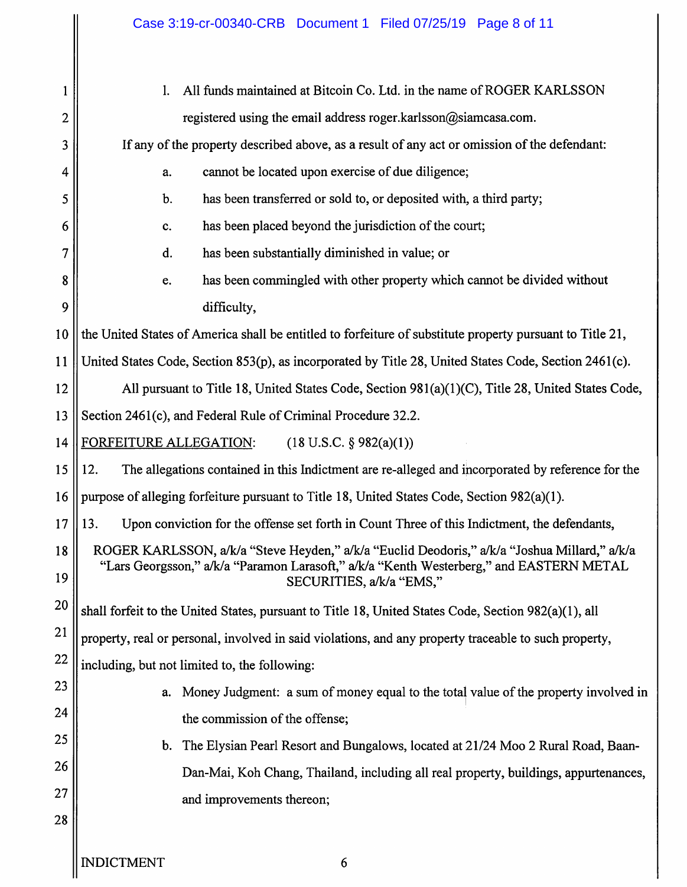|                | Case 3:19-cr-00340-CRB Document 1 Filed 07/25/19 Page 8 of 11                                                                                                                                                       |  |  |
|----------------|---------------------------------------------------------------------------------------------------------------------------------------------------------------------------------------------------------------------|--|--|
|                |                                                                                                                                                                                                                     |  |  |
| 1              | All funds maintained at Bitcoin Co. Ltd. in the name of ROGER KARLSSON<br>1.                                                                                                                                        |  |  |
| $\overline{c}$ | registered using the email address roger.karlsson@siamcasa.com.                                                                                                                                                     |  |  |
| 3              | If any of the property described above, as a result of any act or omission of the defendant:                                                                                                                        |  |  |
| 4              | cannot be located upon exercise of due diligence;<br>a.                                                                                                                                                             |  |  |
| 5              | has been transferred or sold to, or deposited with, a third party;<br>b.                                                                                                                                            |  |  |
| 6              | has been placed beyond the jurisdiction of the court;<br>c.                                                                                                                                                         |  |  |
| 7              | has been substantially diminished in value; or<br>d.                                                                                                                                                                |  |  |
| 8              | has been commingled with other property which cannot be divided without<br>e.                                                                                                                                       |  |  |
| 9              | difficulty,                                                                                                                                                                                                         |  |  |
| 10             | the United States of America shall be entitled to forfeiture of substitute property pursuant to Title 21,                                                                                                           |  |  |
| 11             | United States Code, Section 853(p), as incorporated by Title 28, United States Code, Section 2461(c).                                                                                                               |  |  |
| 12             | All pursuant to Title 18, United States Code, Section 981(a)(1)(C), Title 28, United States Code,                                                                                                                   |  |  |
| 13             | Section 2461(c), and Federal Rule of Criminal Procedure 32.2.                                                                                                                                                       |  |  |
| 14             | FORFEITURE ALLEGATION:<br>$(18 \text{ U.S.C. } § 982(a)(1))$                                                                                                                                                        |  |  |
| 15             | The allegations contained in this Indictment are re-alleged and incorporated by reference for the<br>12.                                                                                                            |  |  |
| 16             | purpose of alleging forfeiture pursuant to Title 18, United States Code, Section 982(a)(1).                                                                                                                         |  |  |
| 17             | Upon conviction for the offense set forth in Count Three of this Indictment, the defendants,<br>13.                                                                                                                 |  |  |
| 18<br>19       | ROGER KARLSSON, a/k/a "Steve Heyden," a/k/a "Euclid Deodoris," a/k/a "Joshua Millard," a/k/a<br>"Lars Georgsson," a/k/a "Paramon Larasoft," a/k/a "Kenth Westerberg," and EASTERN METAL<br>SECURITIES, a/k/a "EMS," |  |  |
| 20             | shall forfeit to the United States, pursuant to Title 18, United States Code, Section 982(a)(1), all                                                                                                                |  |  |
| 21             | property, real or personal, involved in said violations, and any property traceable to such property,                                                                                                               |  |  |
| 22             | including, but not limited to, the following:                                                                                                                                                                       |  |  |
| 23             | Money Judgment: a sum of money equal to the total value of the property involved in<br>a.                                                                                                                           |  |  |
| 24             | the commission of the offense;                                                                                                                                                                                      |  |  |
| 25             | The Elysian Pearl Resort and Bungalows, located at 21/24 Moo 2 Rural Road, Baan-<br>b.                                                                                                                              |  |  |
| 26             | Dan-Mai, Koh Chang, Thailand, including all real property, buildings, appurtenances,                                                                                                                                |  |  |
| 27             | and improvements thereon;                                                                                                                                                                                           |  |  |
| 28             |                                                                                                                                                                                                                     |  |  |
|                |                                                                                                                                                                                                                     |  |  |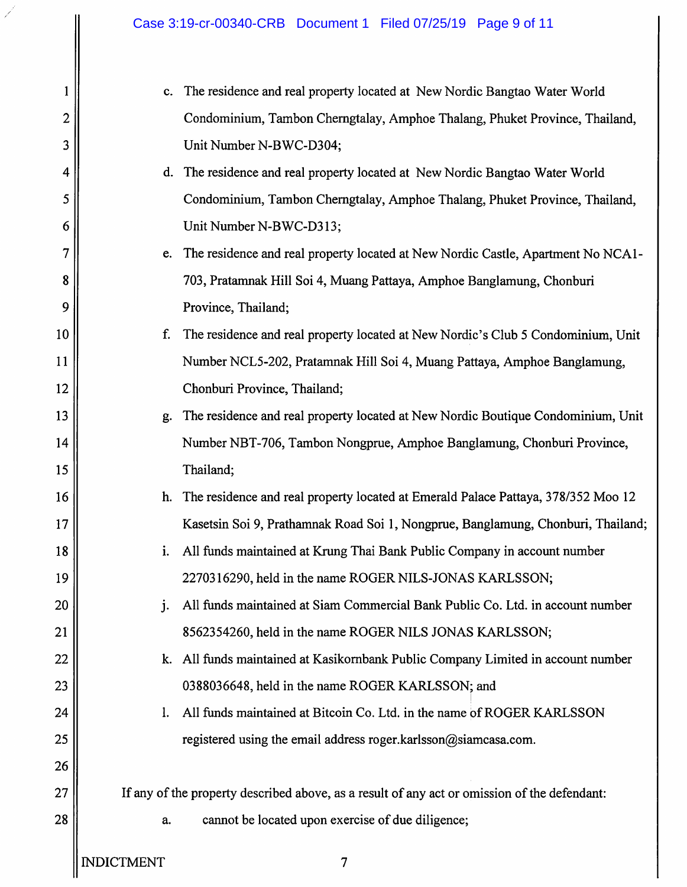| $\mathbf{1}$    |    |
|-----------------|----|
| $\mathbf{z}$    |    |
| 3               |    |
| $\overline{a}$  |    |
|                 |    |
| 5<br>6<br>7     |    |
|                 |    |
| 8               |    |
| 9               |    |
| $10\,$          |    |
| 1 1             |    |
| 12              |    |
| 13              |    |
| 14              |    |
| 15              |    |
| 16              |    |
| 17              |    |
| 18              |    |
| 19              |    |
| 20              |    |
| 21              |    |
| 22              |    |
| 23              |    |
| 24              |    |
| 25              |    |
| 26              |    |
| 27              | If |
| $\overline{28}$ |    |

c. The residence and real property located at New Nordic Bangtao Water World Condominium, Tambon Cherngtalay, Amphoe Thalang, Phuket Province, Thailand, Unit Number N-BWC-D304;

# d. The residence and real property located at New Nordic Bangtao Water World Condominium, Tambon Cherngtalay, Amphoe Thalang, Phuket Province, Thailand, Unit Number N-BWC-D313;

# e. The residence and real property located at New Nordic Castle, Apartment No NCA1-703, Pratamnak Hill Soi 4, Muang Pattaya, Amphoe Banglamung, Chonburi Province, Thailand;

#### f. The residence and real property located at New Nordic's Club 5 Condominium, Unit Number NCL5-202, Pratamnak Hill Soi 4, Muang Pattaya, Amphoe Banglamung, Chonburi Province, Thailand;

# g. The residence and real property located at New Nordic Boutique Condominium, Unit Number NBT-706, Tambon Nongprue, Amphoe Banglamung, Chonburi Province, Thailand;

# h. The residence and real property located at Emerald Palace Pattaya, 378/352 Moo 12 Kasetsin Soi 9, Prathamnak Road Soi 1, Nongprue, Banglamung, Chonburi, Thailand;

# i. All funds maintained at Krung Thai Bank Public Company in account number 2270316290, held in the name ROGER NILS-JONAS KARLSSON;

#### All funds maintained at Siam Commercial Bank Public Co. Ltd. in account number i. 8562354260, held in the name ROGER NILS JONAS KARLSSON;

### k. All funds maintained at Kasikornbank Public Company Limited in account number 0388036648, held in the name ROGER KARLSSON; and

# 1. All funds maintained at Bitcoin Co. Ltd. in the name of ROGER KARLSSON registered using the email address roger.karlsson@siamcasa.com.

#### any of the property described above, as a result of any act or omission of the defendant:

cannot be located upon exercise of due diligence; a.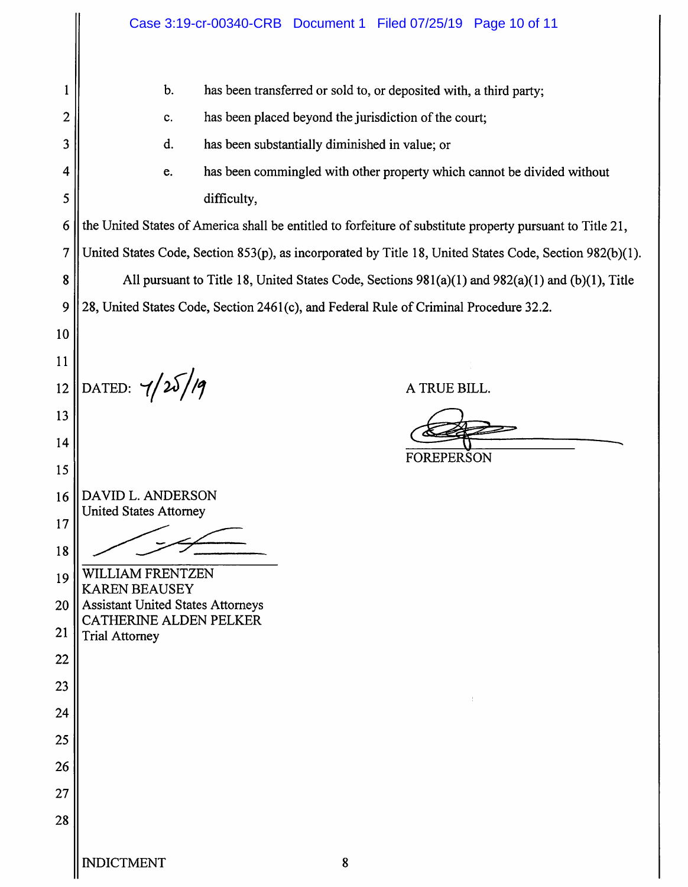|               | Case 3:19-cr-00340-CRB Document 1 Filed 07/25/19 Page 10 of 11                                            |
|---------------|-----------------------------------------------------------------------------------------------------------|
|               | b.<br>has been transferred or sold to, or deposited with, a third party;                                  |
| 2             | has been placed beyond the jurisdiction of the court;<br>c.                                               |
| 3             | d.<br>has been substantially diminished in value; or                                                      |
| 4             | has been commingled with other property which cannot be divided without<br>e.                             |
| 5             | difficulty,                                                                                               |
| 6             | the United States of America shall be entitled to forfeiture of substitute property pursuant to Title 21, |
| 7             | United States Code, Section 853(p), as incorporated by Title 18, United States Code, Section 982(b)(1).   |
| 8             | All pursuant to Title 18, United States Code, Sections 981(a)(1) and 982(a)(1) and (b)(1), Title          |
| 9             | 28, United States Code, Section 2461(c), and Federal Rule of Criminal Procedure 32.2.                     |
| 10            |                                                                                                           |
| <sup>11</sup> |                                                                                                           |
| 12            | DATED: $7/25/19$<br>A TRUE BILL.                                                                          |
| 13            |                                                                                                           |
| 14            |                                                                                                           |
| 15            | <b>FOREPERSON</b>                                                                                         |
| 16            | DAVID L. ANDERSON                                                                                         |
| 17            | United States Attorney                                                                                    |
| 18            |                                                                                                           |
| 19            | WILLIAM FRENTZEN<br><b>KAREN BEAUSEY</b>                                                                  |
| 20            | <b>Assistant United States Attorneys</b><br>CATHERINE ALDEN PELKER                                        |
| 21            | <b>Trial Attorney</b>                                                                                     |
| 22            |                                                                                                           |
| 23            |                                                                                                           |
| 24            |                                                                                                           |
| 25            |                                                                                                           |
| 26            |                                                                                                           |
| 27            |                                                                                                           |
| 28            |                                                                                                           |
|               | <b>INDICTMENT</b><br>8                                                                                    |